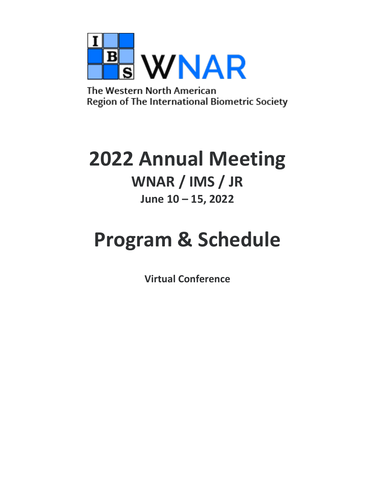

The Western North American Region of The International Biometric Society

## **2022 Annual Meeting WNAR / IMS / JR June 10 – 15, 2022**

# **Program & Schedule**

**Virtual Conference**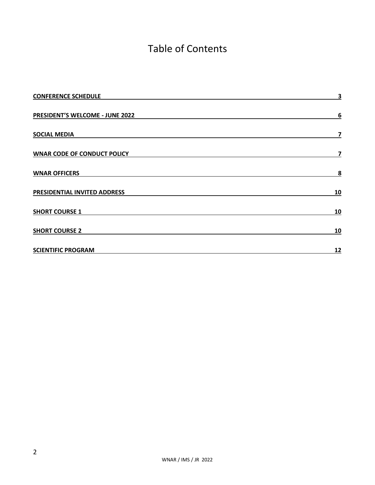### Table of Contents

| <b>CONFERENCE SCHEDULE</b>         | 3              |
|------------------------------------|----------------|
| PRESIDENT'S WELCOME - JUNE 2022    | 6              |
| <b>SOCIAL MEDIA</b>                | $\overline{ }$ |
| <b>WNAR CODE OF CONDUCT POLICY</b> | 7              |
| <b>WNAR OFFICERS</b>               | 8              |
| PRESIDENTIAL INVITED ADDRESS       | <b>10</b>      |
| <b>SHORT COURSE 1</b>              | 10             |
| <b>SHORT COURSE 2</b>              | 10             |
| <b>SCIENTIFIC PROGRAM</b>          | 12             |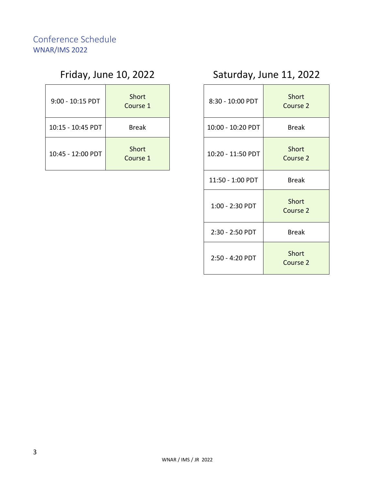### <span id="page-2-0"></span>Conference Schedule WNAR/IMS 2022

| 9:00 - 10:15 PDT  | Short<br>Course 1 | 8:30 - 10:00 PDT  | Short<br>Course |
|-------------------|-------------------|-------------------|-----------------|
| 10:15 - 10:45 PDT | <b>Break</b>      | 10:00 - 10:20 PDT | <b>Break</b>    |
| 10:45 - 12:00 PDT | Short<br>Course 1 | 10:20 - 11:50 PDT | Short<br>Course |

### Friday, June 10, 2022 Saturday, June 11, 2022

| Short<br>Course 1 | 8:30 - 10:00 PDT  | Short<br>Course 2 |
|-------------------|-------------------|-------------------|
| <b>Break</b>      | 10:00 - 10:20 PDT | <b>Break</b>      |
| Short<br>Course 1 | 10:20 - 11:50 PDT | Short<br>Course 2 |
|                   | 11:50 - 1:00 PDT  | <b>Break</b>      |
|                   | 1:00 - 2:30 PDT   | Short<br>Course 2 |
|                   | 2:30 - 2:50 PDT   | <b>Break</b>      |
|                   | 2:50 - 4:20 PDT   | Short<br>Course 2 |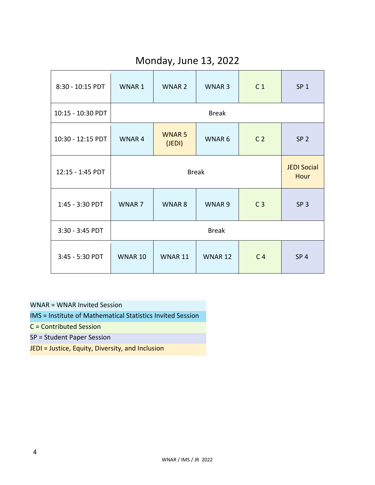### Monday, June 13, 2022

| 8:30 - 10:15 PDT  | WNAR 1            | <b>WNAR 2</b>          | WNAR <sub>3</sub> | C <sub>1</sub>             | SP <sub>1</sub> |
|-------------------|-------------------|------------------------|-------------------|----------------------------|-----------------|
| 10:15 - 10:30 PDT |                   |                        | <b>Break</b>      |                            |                 |
| 10:30 - 12:15 PDT | WNAR4             | <b>WNAR5</b><br>(JEDI) | WNAR 6            | C <sub>2</sub>             | SP <sub>2</sub> |
| 12:15 - 1:45 PDT  | <b>Break</b>      |                        |                   | <b>JEDI Social</b><br>Hour |                 |
| 1:45 - 3:30 PDT   | WNAR <sub>7</sub> | WNAR8                  | WNAR 9            | C <sub>3</sub>             | SP <sub>3</sub> |
| 3:30 - 3:45 PDT   | <b>Break</b>      |                        |                   |                            |                 |
| 3:45 - 5:30 PDT   | <b>WNAR 10</b>    | WNAR 11                | <b>WNAR 12</b>    | C <sub>4</sub>             | SP <sub>4</sub> |

WNAR = WNAR Invited Session

IMS = Institute of Mathematical Statistics Invited Session

C = Contributed Session

SP = Student Paper Session

JEDI = Justice, Equity, Diversity, and Inclusion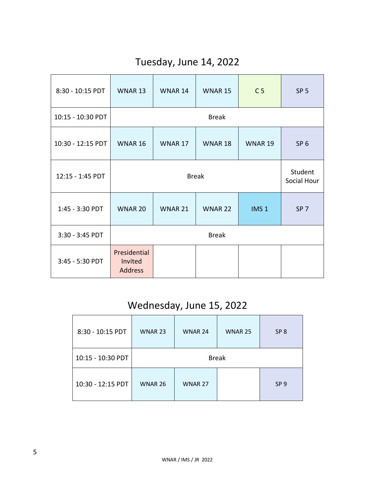### Tuesday, June 14, 2022

| 8:30 - 10:15 PDT  | <b>WNAR 13</b>                            | <b>WNAR 14</b> | <b>WNAR 15</b> | C <sub>5</sub>   | SP <sub>5</sub> |
|-------------------|-------------------------------------------|----------------|----------------|------------------|-----------------|
| 10:15 - 10:30 PDT |                                           |                | <b>Break</b>   |                  |                 |
| 10:30 - 12:15 PDT | <b>WNAR 16</b>                            | <b>WNAR 17</b> | WNAR 18        | <b>WNAR 19</b>   | SP <sub>6</sub> |
| 12:15 - 1:45 PDT  |                                           | <b>Break</b>   |                |                  |                 |
| 1:45 - 3:30 PDT   | <b>WNAR 20</b>                            | <b>WNAR 21</b> | <b>WNAR 22</b> | IMS <sub>1</sub> | SP <sub>7</sub> |
| 3:30 - 3:45 PDT   | <b>Break</b>                              |                |                |                  |                 |
| 3:45 - 5:30 PDT   | Presidential<br>Invited<br><b>Address</b> |                |                |                  |                 |

### Wednesday, June 15, 2022

| 8:30 - 10:15 PDT  | WNAR 23        | WNAR 24        | <b>WNAR 25</b> | SP <sub>8</sub> |
|-------------------|----------------|----------------|----------------|-----------------|
| 10:15 - 10:30 PDT |                |                | <b>Break</b>   |                 |
| 10:30 - 12:15 PDT | <b>WNAR 26</b> | <b>WNAR 27</b> |                | SP <sub>9</sub> |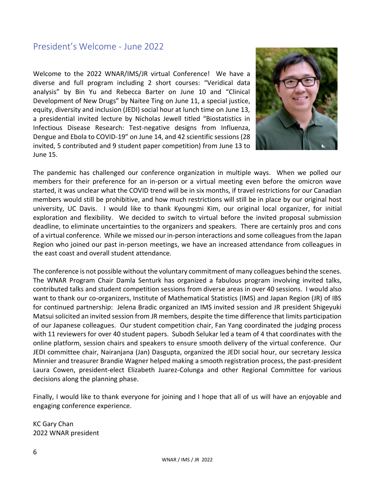### <span id="page-5-0"></span>President's Welcome - June 2022

Welcome to the 2022 WNAR/IMS/JR virtual Conference! We have a diverse and full program including 2 short courses: "Veridical data analysis" by Bin Yu and Rebecca Barter on June 10 and "Clinical Development of New Drugs" by Naitee Ting on June 11, a special justice, equity, diversity and inclusion (JEDI) social hour at lunch time on June 13, a presidential invited lecture by Nicholas Jewell titled "Biostatistics in Infectious Disease Research: Test-negative designs from Influenza, Dengue and Ebola to COVID-19" on June 14, and 42 scientific sessions (28 invited, 5 contributed and 9 student paper competition) from June 13 to June 15.



The pandemic has challenged our conference organization in multiple ways. When we polled our members for their preference for an in-person or a virtual meeting even before the omicron wave started, it was unclear what the COVID trend will be in six months, if travel restrictions for our Canadian members would still be prohibitive, and how much restrictions will still be in place by our original host university, UC Davis. I would like to thank Kyoungmi Kim, our original local organizer, for initial exploration and flexibility. We decided to switch to virtual before the invited proposal submission deadline, to eliminate uncertainties to the organizers and speakers. There are certainly pros and cons of a virtual conference. While we missed our in-person interactions and some colleagues from the Japan Region who joined our past in-person meetings, we have an increased attendance from colleagues in the east coast and overall student attendance.

The conference is not possible without the voluntary commitment of many colleagues behind the scenes. The WNAR Program Chair Damla Senturk has organized a fabulous program involving invited talks, contributed talks and student competition sessions from diverse areas in over 40 sessions. I would also want to thank our co-organizers, Institute of Mathematical Statistics (IMS) and Japan Region (JR) of IBS for continued partnership: Jelena Bradic organized an IMS invited session and JR president Shigeyuki Matsui solicited an invited session from JR members, despite the time difference that limits participation of our Japanese colleagues. Our student competition chair, Fan Yang coordinated the judging process with 11 reviewers for over 40 student papers. Subodh Selukar led a team of 4 that coordinates with the online platform, session chairs and speakers to ensure smooth delivery of the virtual conference. Our JEDI committee chair, Nairanjana (Jan) Dasgupta, organized the JEDI social hour, our secretary Jessica Minnier and treasurer Brandie Wagner helped making a smooth registration process, the past-president Laura Cowen, president-elect Elizabeth Juarez-Colunga and other Regional Committee for various decisions along the planning phase.

Finally, I would like to thank everyone for joining and I hope that all of us will have an enjoyable and engaging conference experience.

KC Gary Chan 2022 WNAR president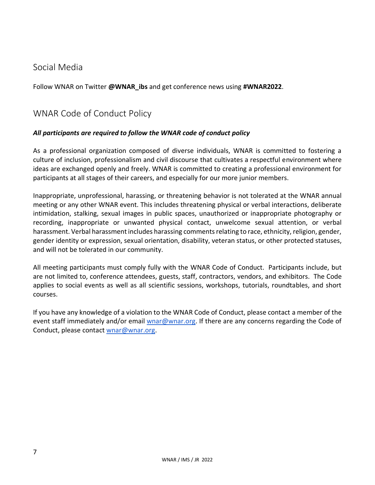### <span id="page-6-0"></span>Social Media

Follow WNAR on Twitter **@WNAR\_ibs** and get conference news using **#WNAR2022**.

### <span id="page-6-1"></span>WNAR Code of Conduct Policy

### *All participants are required to follow the WNAR code of conduct policy*

As a professional organization composed of diverse individuals, WNAR is committed to fostering a culture of inclusion, professionalism and civil discourse that cultivates a respectful environment where ideas are exchanged openly and freely. WNAR is committed to creating a professional environment for participants at all stages of their careers, and especially for our more junior members.

Inappropriate, unprofessional, harassing, or threatening behavior is not tolerated at the WNAR annual meeting or any other WNAR event. This includes threatening physical or verbal interactions, deliberate intimidation, stalking, sexual images in public spaces, unauthorized or inappropriate photography or recording, inappropriate or unwanted physical contact, unwelcome sexual attention, or verbal harassment. Verbal harassment includes harassing comments relating to race, ethnicity, religion, gender, gender identity or expression, sexual orientation, disability, veteran status, or other protected statuses, and will not be tolerated in our community.

All meeting participants must comply fully with the WNAR Code of Conduct. Participants include, but are not limited to, conference attendees, guests, staff, contractors, vendors, and exhibitors. The Code applies to social events as well as all scientific sessions, workshops, tutorials, roundtables, and short courses.

If you have any knowledge of a violation to the WNAR Code of Conduct, please contact a member of the event staff immediately and/or email [wnar@wnar.org.](mailto:wnar@wnar.org) If there are any concerns regarding the Code of Conduct, please contact [wnar@wnar.org.](mailto:wnar@wnar.org)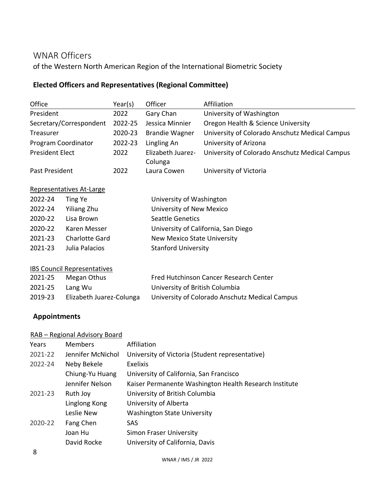### <span id="page-7-0"></span>WNAR Officers

of the Western North American Region of the International Biometric Society

### **Elected Officers and Representatives (Regional Committee)**

| Office                 |                                    | Year(s)               | Officer                                                | Affiliation                                    |  |
|------------------------|------------------------------------|-----------------------|--------------------------------------------------------|------------------------------------------------|--|
| President              |                                    | 2022                  | Gary Chan                                              | University of Washington                       |  |
|                        | Secretary/Correspondent            | 2022-25               | Jessica Minnier                                        | Oregon Health & Science University             |  |
| Treasurer              |                                    | 2020-23               | <b>Brandie Wagner</b>                                  | University of Colorado Anschutz Medical Campus |  |
|                        | Program Coordinator                | 2022-23               | Lingling An                                            | University of Arizona                          |  |
| <b>President Elect</b> |                                    | 2022                  | Elizabeth Juarez-<br>Colunga                           | University of Colorado Anschutz Medical Campus |  |
| Past President         |                                    | 2022                  | Laura Cowen                                            | University of Victoria                         |  |
|                        | Representatives At-Large           |                       |                                                        |                                                |  |
| 2022-24                | <b>Ting Ye</b>                     |                       | University of Washington                               |                                                |  |
| 2022-24                | <b>Yiliang Zhu</b>                 |                       | University of New Mexico                               |                                                |  |
| 2020-22                | Lisa Brown                         |                       | <b>Seattle Genetics</b>                                |                                                |  |
| 2020-22                | Karen Messer                       |                       |                                                        | University of California, San Diego            |  |
| 2021-23                | <b>Charlotte Gard</b>              |                       | <b>New Mexico State University</b>                     |                                                |  |
| 2021-23                | Julia Palacios                     |                       | <b>Stanford University</b>                             |                                                |  |
|                        | <b>IBS Council Representatives</b> |                       |                                                        |                                                |  |
| 2021-25                | Megan Othus                        |                       |                                                        | Fred Hutchinson Cancer Research Center         |  |
| 2021-25                | Lang Wu                            |                       | University of British Columbia                         |                                                |  |
| 2019-23                | Elizabeth Juarez-Colunga           |                       | University of Colorado Anschutz Medical Campus         |                                                |  |
| <b>Appointments</b>    |                                    |                       |                                                        |                                                |  |
|                        | RAB - Regional Advisory Board      |                       |                                                        |                                                |  |
| Years                  | <b>Members</b>                     |                       | Affiliation                                            |                                                |  |
| 2021-22                | Jennifer McNichol                  |                       | University of Victoria (Student representative)        |                                                |  |
| 2022-24                | Neby Bekele                        |                       | <b>Exelixis</b>                                        |                                                |  |
|                        | Chiung-Yu Huang                    |                       | University of California, San Francisco                |                                                |  |
|                        | Jennifer Nelson                    |                       | Kaiser Permanente Washington Health Research Institute |                                                |  |
| 2021-23                | Ruth Joy                           |                       | University of British Columbia                         |                                                |  |
| Linglong Kong          |                                    | University of Alberta |                                                        |                                                |  |

- Leslie New Washington State University
- 2020-22 Fang Chen SAS
- Joan Hu Simon Fraser University David Rocke University of California, Davis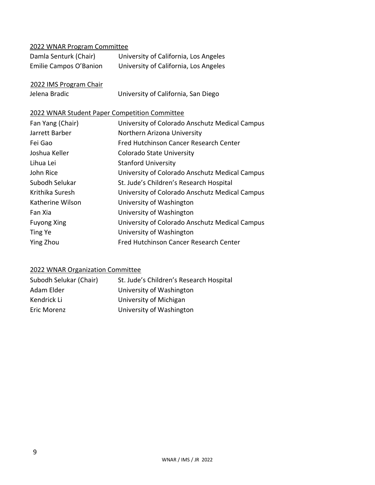### 2022 WNAR Program Committee

| Damla Senturk (Chair)  | University of California, Los Angeles |
|------------------------|---------------------------------------|
| Emilie Campos O'Banion | University of California, Los Angeles |

### 2022 IMS Program Chair

### 2022 WNAR Student Paper Competition Committee

| Fan Yang (Chair)   | University of Colorado Anschutz Medical Campus |
|--------------------|------------------------------------------------|
| Jarrett Barber     | Northern Arizona University                    |
| Fei Gao            | Fred Hutchinson Cancer Research Center         |
| Joshua Keller      | <b>Colorado State University</b>               |
| Lihua Lei          | <b>Stanford University</b>                     |
| John Rice          | University of Colorado Anschutz Medical Campus |
| Subodh Selukar     | St. Jude's Children's Research Hospital        |
| Krithika Suresh    | University of Colorado Anschutz Medical Campus |
| Katherine Wilson   | University of Washington                       |
| Fan Xia            | University of Washington                       |
| <b>Fuyong Xing</b> | University of Colorado Anschutz Medical Campus |
| Ting Ye            | University of Washington                       |
| Ying Zhou          | Fred Hutchinson Cancer Research Center         |

### 2022 WNAR Organization Committee

| Subodh Selukar (Chair) | St. Jude's Children's Research Hospital |
|------------------------|-----------------------------------------|
| Adam Elder             | University of Washington                |
| Kendrick Li            | University of Michigan                  |
| Eric Morenz            | University of Washington                |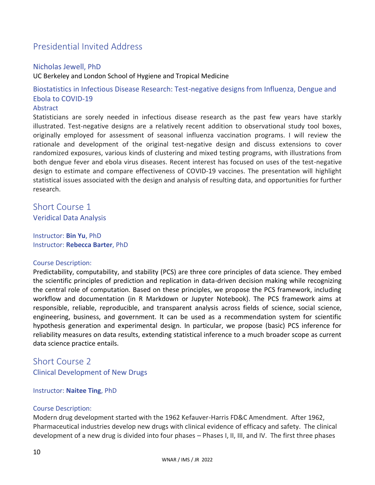### <span id="page-9-0"></span>Presidential Invited Address

### Nicholas Jewell, PhD

UC Berkeley and London School of Hygiene and Tropical Medicine

### Biostatistics in Infectious Disease Research: Test-negative designs from Influenza, Dengue and Ebola to COVID-19

### Abstract

Statisticians are sorely needed in infectious disease research as the past few years have starkly illustrated. Test-negative designs are a relatively recent addition to observational study tool boxes, originally employed for assessment of seasonal influenza vaccination programs. I will review the rationale and development of the original test-negative design and discuss extensions to cover randomized exposures, various kinds of clustering and mixed testing programs, with illustrations from both dengue fever and ebola virus diseases. Recent interest has focused on uses of the test-negative design to estimate and compare effectiveness of COVID-19 vaccines. The presentation will highlight statistical issues associated with the design and analysis of resulting data, and opportunities for further research.

### <span id="page-9-1"></span>Short Course 1 Veridical Data Analysis

Instructor: **Bin Yu**, PhD Instructor: **Rebecca Barter**, PhD

#### Course Description:

Predictability, computability, and stability (PCS) are three core principles of data science. They embed the scientific principles of prediction and replication in data-driven decision making while recognizing the central role of computation. Based on these principles, we propose the PCS framework, including workflow and documentation (in R Markdown or Jupyter Notebook). The PCS framework aims at responsible, reliable, reproducible, and transparent analysis across fields of science, social science, engineering, business, and government. It can be used as a recommendation system for scientific hypothesis generation and experimental design. In particular, we propose (basic) PCS inference for reliability measures on data results, extending statistical inference to a much broader scope as current data science practice entails.

### <span id="page-9-2"></span>Short Course 2 Clinical Development of New Drugs

### Instructor: **Naitee Ting**, PhD

### Course Description:

Modern drug development started with the 1962 Kefauver-Harris FD&C Amendment. After 1962, Pharmaceutical industries develop new drugs with clinical evidence of efficacy and safety. The clinical development of a new drug is divided into four phases – Phases I, II, III, and IV. The first three phases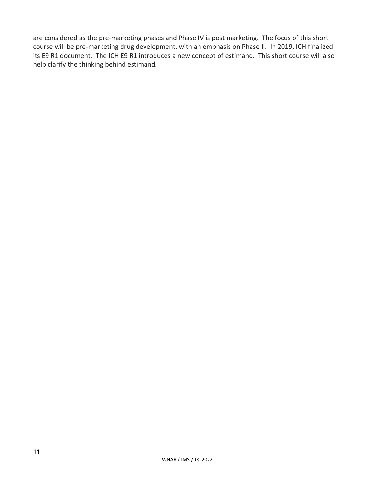are considered as the pre-marketing phases and Phase IV is post marketing. The focus of this short course will be pre-marketing drug development, with an emphasis on Phase II. In 2019, ICH finalized its E9 R1 document. The ICH E9 R1 introduces a new concept of estimand. This short course will also help clarify the thinking behind estimand.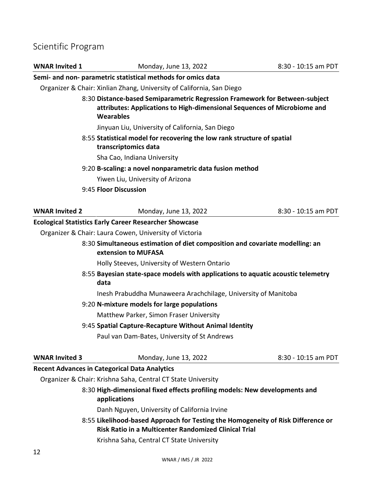### <span id="page-11-0"></span>Scientific Program

| <b>WNAR Invited 1</b>                                        | Monday, June 13, 2022<br>8:30 - 10:15 am PDT                                                                                                                                |                     |  |  |  |  |
|--------------------------------------------------------------|-----------------------------------------------------------------------------------------------------------------------------------------------------------------------------|---------------------|--|--|--|--|
| Semi- and non- parametric statistical methods for omics data |                                                                                                                                                                             |                     |  |  |  |  |
|                                                              | Organizer & Chair: Xinlian Zhang, University of California, San Diego                                                                                                       |                     |  |  |  |  |
|                                                              | 8:30 Distance-based Semiparametric Regression Framework for Between-subject<br>attributes: Applications to High-dimensional Sequences of Microbiome and<br><b>Wearables</b> |                     |  |  |  |  |
|                                                              | Jinyuan Liu, University of California, San Diego                                                                                                                            |                     |  |  |  |  |
|                                                              | 8:55 Statistical model for recovering the low rank structure of spatial<br>transcriptomics data                                                                             |                     |  |  |  |  |
|                                                              | Sha Cao, Indiana University                                                                                                                                                 |                     |  |  |  |  |
|                                                              | 9:20 B-scaling: a novel nonparametric data fusion method                                                                                                                    |                     |  |  |  |  |
|                                                              | Yiwen Liu, University of Arizona                                                                                                                                            |                     |  |  |  |  |
|                                                              | 9:45 Floor Discussion                                                                                                                                                       |                     |  |  |  |  |
| <b>WNAR Invited 2</b>                                        | Monday, June 13, 2022                                                                                                                                                       | 8:30 - 10:15 am PDT |  |  |  |  |
|                                                              | <b>Ecological Statistics Early Career Researcher Showcase</b>                                                                                                               |                     |  |  |  |  |
|                                                              | Organizer & Chair: Laura Cowen, University of Victoria                                                                                                                      |                     |  |  |  |  |
|                                                              | 8:30 Simultaneous estimation of diet composition and covariate modelling: an<br>extension to MUFASA                                                                         |                     |  |  |  |  |
|                                                              | Holly Steeves, University of Western Ontario                                                                                                                                |                     |  |  |  |  |
|                                                              | 8:55 Bayesian state-space models with applications to aquatic acoustic telemetry<br>data                                                                                    |                     |  |  |  |  |
|                                                              | Inesh Prabuddha Munaweera Arachchilage, University of Manitoba                                                                                                              |                     |  |  |  |  |
|                                                              | 9:20 N-mixture models for large populations                                                                                                                                 |                     |  |  |  |  |
|                                                              | Matthew Parker, Simon Fraser University                                                                                                                                     |                     |  |  |  |  |
|                                                              | 9:45 Spatial Capture-Recapture Without Animal Identity                                                                                                                      |                     |  |  |  |  |
|                                                              | Paul van Dam-Bates, University of St Andrews                                                                                                                                |                     |  |  |  |  |
| <b>WNAR Invited 3</b>                                        | Monday, June 13, 2022                                                                                                                                                       | 8:30 - 10:15 am PDT |  |  |  |  |
|                                                              | <b>Recent Advances in Categorical Data Analytics</b>                                                                                                                        |                     |  |  |  |  |
|                                                              | Organizer & Chair: Krishna Saha, Central CT State University                                                                                                                |                     |  |  |  |  |
|                                                              | 8:30 High-dimensional fixed effects profiling models: New developments and<br>applications                                                                                  |                     |  |  |  |  |
|                                                              | Danh Nguyen, University of California Irvine                                                                                                                                |                     |  |  |  |  |
|                                                              | 8:55 Likelihood-based Approach for Testing the Homogeneity of Risk Difference or<br><b>Risk Ratio in a Multicenter Randomized Clinical Trial</b>                            |                     |  |  |  |  |
|                                                              | Krishna Saha, Central CT State University                                                                                                                                   |                     |  |  |  |  |
| ຳາ                                                           |                                                                                                                                                                             |                     |  |  |  |  |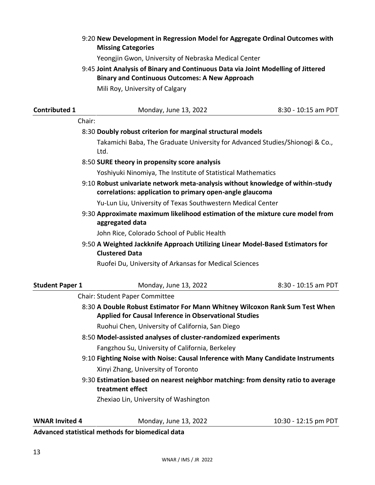### 9:20 **New Development in Regression Model for Aggregate Ordinal Outcomes with Missing Categories**

Yeongjin Gwon, University of Nebraska Medical Center

### 9:45 **Joint Analysis of Binary and Continuous Data via Joint Modelling of Jittered Binary and Continuous Outcomes: A New Approach**

Mili Roy, University of Calgary

| <b>Contributed 1</b>                                                                                    | Monday, June 13, 2022                                                                                                                       | 8:30 - 10:15 am PDT |
|---------------------------------------------------------------------------------------------------------|---------------------------------------------------------------------------------------------------------------------------------------------|---------------------|
| Chair:                                                                                                  |                                                                                                                                             |                     |
|                                                                                                         | 8:30 Doubly robust criterion for marginal structural models                                                                                 |                     |
|                                                                                                         | Takamichi Baba, The Graduate University for Advanced Studies/Shionogi & Co.,<br>Ltd.                                                        |                     |
|                                                                                                         | 8:50 SURE theory in propensity score analysis                                                                                               |                     |
|                                                                                                         | Yoshiyuki Ninomiya, The Institute of Statistical Mathematics                                                                                |                     |
|                                                                                                         | 9:10 Robust univariate network meta-analysis without knowledge of within-study<br>correlations: application to primary open-angle glaucoma  |                     |
|                                                                                                         | Yu-Lun Liu, University of Texas Southwestern Medical Center                                                                                 |                     |
|                                                                                                         | 9:30 Approximate maximum likelihood estimation of the mixture cure model from<br>aggregated data                                            |                     |
|                                                                                                         | John Rice, Colorado School of Public Health                                                                                                 |                     |
| 9:50 A Weighted Jackknife Approach Utilizing Linear Model-Based Estimators for<br><b>Clustered Data</b> |                                                                                                                                             |                     |
|                                                                                                         | Ruofei Du, University of Arkansas for Medical Sciences                                                                                      |                     |
|                                                                                                         |                                                                                                                                             |                     |
| <b>Student Paper 1</b>                                                                                  | Monday, June 13, 2022                                                                                                                       | 8:30 - 10:15 am PDT |
|                                                                                                         | Chair: Student Paper Committee                                                                                                              |                     |
|                                                                                                         | 8:30 A Double Robust Estimator For Mann Whitney Wilcoxon Rank Sum Test When<br><b>Applied for Causal Inference in Observational Studies</b> |                     |
|                                                                                                         | Ruohui Chen, University of California, San Diego                                                                                            |                     |
|                                                                                                         | 8:50 Model-assisted analyses of cluster-randomized experiments                                                                              |                     |
|                                                                                                         | Fangzhou Su, University of California, Berkeley                                                                                             |                     |
|                                                                                                         | 9:10 Fighting Noise with Noise: Causal Inference with Many Candidate Instruments                                                            |                     |
|                                                                                                         | Xinyi Zhang, University of Toronto                                                                                                          |                     |
|                                                                                                         | 9:30 Estimation based on nearest neighbor matching: from density ratio to average<br>treatment effect                                       |                     |
|                                                                                                         | Zhexiao Lin, University of Washington                                                                                                       |                     |
| <b>WNAR Invited 4</b>                                                                                   |                                                                                                                                             |                     |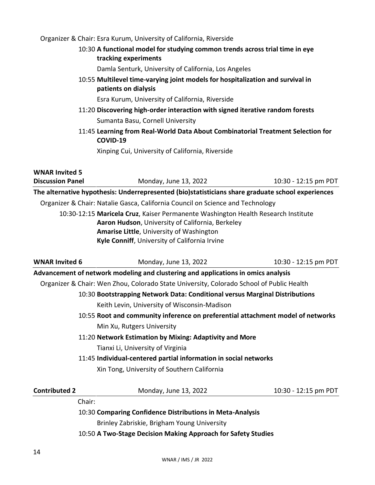Organizer & Chair: Esra Kurum, University of California, Riverside

### 10:30 **A functional model for studying common trends across trial time in eye tracking experiments**

Damla Senturk, University of California, Los Angeles

10:55 **Multilevel time-varying joint models for hospitalization and survival in patients on dialysis**

Esra Kurum, University of California, Riverside

- 11:20 **Discovering high-order interaction with signed iterative random forests** Sumanta Basu, Cornell University
- 11:45 **Learning from Real-World Data About Combinatorial Treatment Selection for COVID-19**

Xinping Cui, University of California, Riverside

| <b>WNAR Invited 5</b>                                                           |                                                                                                   |                      |  |
|---------------------------------------------------------------------------------|---------------------------------------------------------------------------------------------------|----------------------|--|
| <b>Discussion Panel</b>                                                         | Monday, June 13, 2022                                                                             | 10:30 - 12:15 pm PDT |  |
|                                                                                 | The alternative hypothesis: Underrepresented (bio)statisticians share graduate school experiences |                      |  |
|                                                                                 | Organizer & Chair: Natalie Gasca, California Council on Science and Technology                    |                      |  |
|                                                                                 | 10:30-12:15 Maricela Cruz, Kaiser Permanente Washington Health Research Institute                 |                      |  |
|                                                                                 | Aaron Hudson, University of California, Berkeley                                                  |                      |  |
|                                                                                 | Amarise Little, University of Washington                                                          |                      |  |
|                                                                                 | Kyle Conniff, University of California Irvine                                                     |                      |  |
| <b>WNAR Invited 6</b>                                                           | Monday, June 13, 2022                                                                             | 10:30 - 12:15 pm PDT |  |
|                                                                                 | Advancement of network modeling and clustering and applications in omics analysis                 |                      |  |
|                                                                                 | Organizer & Chair: Wen Zhou, Colorado State University, Colorado School of Public Health          |                      |  |
| 10:30 Bootstrapping Network Data: Conditional versus Marginal Distributions     |                                                                                                   |                      |  |
|                                                                                 | Keith Levin, University of Wisconsin-Madison                                                      |                      |  |
| 10:55 Root and community inference on preferential attachment model of networks |                                                                                                   |                      |  |
|                                                                                 | Min Xu, Rutgers University                                                                        |                      |  |
|                                                                                 | 11:20 Network Estimation by Mixing: Adaptivity and More                                           |                      |  |
|                                                                                 | Tianxi Li, University of Virginia                                                                 |                      |  |
|                                                                                 | 11:45 Individual-centered partial information in social networks                                  |                      |  |
|                                                                                 | Xin Tong, University of Southern California                                                       |                      |  |
| <b>Contributed 2</b>                                                            | Monday, June 13, 2022                                                                             | 10:30 - 12:15 pm PDT |  |
|                                                                                 | Chair:                                                                                            |                      |  |
|                                                                                 | 10:30 Comparing Confidence Distributions in Meta-Analysis                                         |                      |  |
|                                                                                 | Brinley Zabriskie, Brigham Young University                                                       |                      |  |
|                                                                                 | 10:50 A Two-Stage Decision Making Approach for Safety Studies                                     |                      |  |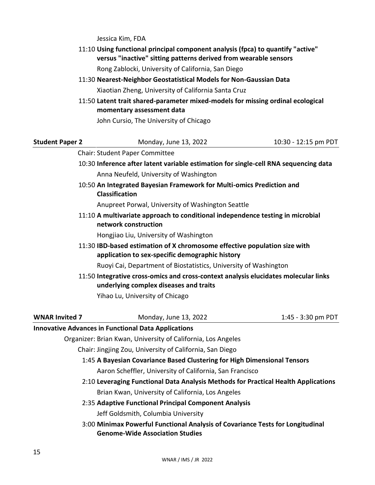Jessica Kim, FDA

| 11:10 Using functional principal component analysis (fpca) to quantify "active" |  |
|---------------------------------------------------------------------------------|--|
| versus "inactive" sitting patterns derived from wearable sensors                |  |
| Rong Zablocki, University of California, San Diego                              |  |

11:30 **Nearest-Neighbor Geostatistical Models for Non-Gaussian Data**

Xiaotian Zheng, University of California Santa Cruz

11:50 **Latent trait shared-parameter mixed-models for missing ordinal ecological momentary assessment data**

John Cursio, The University of Chicago

| Chair: Student Paper Committee<br>10:30 Inference after latent variable estimation for single-cell RNA sequencing data<br>Anna Neufeld, University of Washington<br>10:50 An Integrated Bayesian Framework for Multi-omics Prediction and |  |
|-------------------------------------------------------------------------------------------------------------------------------------------------------------------------------------------------------------------------------------------|--|
|                                                                                                                                                                                                                                           |  |
|                                                                                                                                                                                                                                           |  |
|                                                                                                                                                                                                                                           |  |
| <b>Classification</b>                                                                                                                                                                                                                     |  |
| Anupreet Porwal, University of Washington Seattle                                                                                                                                                                                         |  |
| 11:10 A multivariate approach to conditional independence testing in microbial<br>network construction                                                                                                                                    |  |
| Hongjiao Liu, University of Washington                                                                                                                                                                                                    |  |
| 11:30 IBD-based estimation of X chromosome effective population size with<br>application to sex-specific demographic history                                                                                                              |  |
| Ruoyi Cai, Department of Biostatistics, University of Washington                                                                                                                                                                          |  |
| 11:50 Integrative cross-omics and cross-context analysis elucidates molecular links<br>underlying complex diseases and traits                                                                                                             |  |
| Yihao Lu, University of Chicago                                                                                                                                                                                                           |  |
| <b>WNAR Invited 7</b><br>Monday, June 13, 2022<br>1:45 - 3:30 pm PDT                                                                                                                                                                      |  |
| <b>Innovative Advances in Functional Data Applications</b>                                                                                                                                                                                |  |
| Organizer: Brian Kwan, University of California, Los Angeles                                                                                                                                                                              |  |
| Chair: Jingjing Zou, University of California, San Diego                                                                                                                                                                                  |  |
| 1:45 A Bayesian Covariance Based Clustering for High Dimensional Tensors                                                                                                                                                                  |  |
| Aaron Scheffler, University of California, San Francisco                                                                                                                                                                                  |  |
| 2:10 Leveraging Functional Data Analysis Methods for Practical Health Applications                                                                                                                                                        |  |
| Brian Kwan, University of California, Los Angeles                                                                                                                                                                                         |  |
| 2:35 Adaptive Functional Principal Component Analysis                                                                                                                                                                                     |  |
| Jeff Goldsmith, Columbia University                                                                                                                                                                                                       |  |
| 3:00 Minimax Powerful Functional Analysis of Covariance Tests for Longitudinal<br><b>Genome-Wide Association Studies</b>                                                                                                                  |  |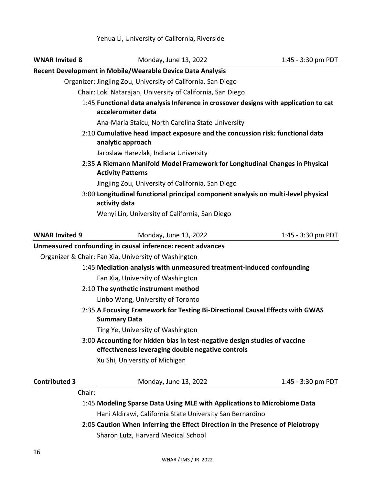### Yehua Li, University of California, Riverside

| <b>WNAR Invited 8</b> | Monday, June 13, 2022                                                                                                           | 1:45 - 3:30 pm PDT |
|-----------------------|---------------------------------------------------------------------------------------------------------------------------------|--------------------|
|                       | Recent Development in Mobile/Wearable Device Data Analysis                                                                      |                    |
|                       | Organizer: Jingjing Zou, University of California, San Diego                                                                    |                    |
|                       | Chair: Loki Natarajan, University of California, San Diego                                                                      |                    |
|                       | 1:45 Functional data analysis Inference in crossover designs with application to cat<br>accelerometer data                      |                    |
|                       | Ana-Maria Staicu, North Carolina State University                                                                               |                    |
|                       | 2:10 Cumulative head impact exposure and the concussion risk: functional data<br>analytic approach                              |                    |
|                       | Jaroslaw Harezlak, Indiana University                                                                                           |                    |
|                       | 2:35 A Riemann Manifold Model Framework for Longitudinal Changes in Physical<br><b>Activity Patterns</b>                        |                    |
|                       | Jingjing Zou, University of California, San Diego                                                                               |                    |
|                       | 3:00 Longitudinal functional principal component analysis on multi-level physical<br>activity data                              |                    |
|                       | Wenyi Lin, University of California, San Diego                                                                                  |                    |
|                       |                                                                                                                                 |                    |
| <b>WNAR Invited 9</b> | Monday, June 13, 2022                                                                                                           | 1:45 - 3:30 pm PDT |
|                       | Unmeasured confounding in causal inference: recent advances                                                                     |                    |
|                       | Organizer & Chair: Fan Xia, University of Washington                                                                            |                    |
|                       | 1:45 Mediation analysis with unmeasured treatment-induced confounding                                                           |                    |
|                       | Fan Xia, University of Washington                                                                                               |                    |
|                       | 2:10 The synthetic instrument method                                                                                            |                    |
|                       | Linbo Wang, University of Toronto                                                                                               |                    |
|                       | 2:35 A Focusing Framework for Testing Bi-Directional Causal Effects with GWAS<br><b>Summary Data</b>                            |                    |
|                       | Ting Ye, University of Washington                                                                                               |                    |
|                       | 3:00 Accounting for hidden bias in test-negative design studies of vaccine<br>effectiveness leveraging double negative controls |                    |
|                       | Xu Shi, University of Michigan                                                                                                  |                    |
| <b>Contributed 3</b>  | Monday, June 13, 2022                                                                                                           | 1:45 - 3:30 pm PDT |
| Chair:                |                                                                                                                                 |                    |
|                       | 1:45 Modeling Sparse Data Using MLE with Applications to Microbiome Data                                                        |                    |
|                       | Hani Aldirawi, California State University San Bernardino                                                                       |                    |
|                       | 2:05 Caution When Inferring the Effect Direction in the Presence of Pleiotropy                                                  |                    |

Sharon Lutz, Harvard Medical School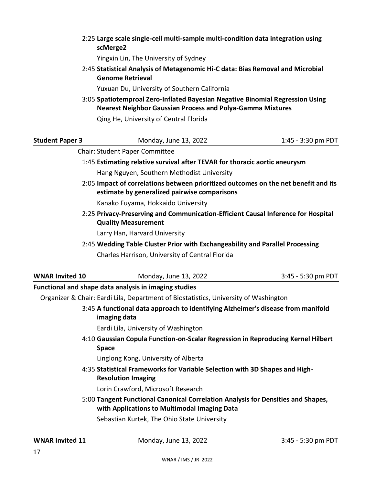|                        | 2:25 Large scale single-cell multi-sample multi-condition data integration using<br>scMerge2                                                       |                    |
|------------------------|----------------------------------------------------------------------------------------------------------------------------------------------------|--------------------|
|                        | Yingxin Lin, The University of Sydney                                                                                                              |                    |
|                        | 2:45 Statistical Analysis of Metagenomic Hi-C data: Bias Removal and Microbial<br><b>Genome Retrieval</b>                                          |                    |
|                        | Yuxuan Du, University of Southern California                                                                                                       |                    |
|                        | 3:05 Spatiotemproal Zero-Inflated Bayesian Negative Binomial Regression Using<br><b>Nearest Neighbor Gaussian Process and Polya-Gamma Mixtures</b> |                    |
|                        | Qing He, University of Central Florida                                                                                                             |                    |
| <b>Student Paper 3</b> | Monday, June 13, 2022                                                                                                                              | 1:45 - 3:30 pm PDT |
|                        | <b>Chair: Student Paper Committee</b>                                                                                                              |                    |
|                        | 1:45 Estimating relative survival after TEVAR for thoracic aortic aneurysm                                                                         |                    |
|                        | Hang Nguyen, Southern Methodist University                                                                                                         |                    |
|                        | 2:05 Impact of correlations between prioritized outcomes on the net benefit and its<br>estimate by generalized pairwise comparisons                |                    |
|                        | Kanako Fuyama, Hokkaido University                                                                                                                 |                    |
|                        | 2:25 Privacy-Preserving and Communication-Efficient Causal Inference for Hospital<br><b>Quality Measurement</b>                                    |                    |
|                        | Larry Han, Harvard University                                                                                                                      |                    |
|                        | 2:45 Wedding Table Cluster Prior with Exchangeability and Parallel Processing                                                                      |                    |
|                        | Charles Harrison, University of Central Florida                                                                                                    |                    |
| <b>WNAR Invited 10</b> | Monday, June 13, 2022                                                                                                                              | 3:45 - 5:30 pm PDT |
|                        | Functional and shape data analysis in imaging studies                                                                                              |                    |
|                        | Organizer & Chair: Eardi Lila, Department of Biostatistics, University of Washington                                                               |                    |
|                        | 3:45 A functional data approach to identifying Alzheimer's disease from manifold<br>imaging data                                                   |                    |
|                        | Eardi Lila, University of Washington                                                                                                               |                    |
|                        | 4:10 Gaussian Copula Function-on-Scalar Regression in Reproducing Kernel Hilbert<br><b>Space</b>                                                   |                    |
|                        | Linglong Kong, University of Alberta                                                                                                               |                    |
|                        | 4:35 Statistical Frameworks for Variable Selection with 3D Shapes and High-<br><b>Resolution Imaging</b>                                           |                    |
|                        | Lorin Crawford, Microsoft Research                                                                                                                 |                    |
|                        | 5:00 Tangent Functional Canonical Correlation Analysis for Densities and Shapes,<br>with Applications to Multimodal Imaging Data                   |                    |
|                        | Sebastian Kurtek, The Ohio State University                                                                                                        |                    |
| <b>WNAR Invited 11</b> | Monday, June 13, 2022                                                                                                                              | 3:45 - 5:30 pm PDT |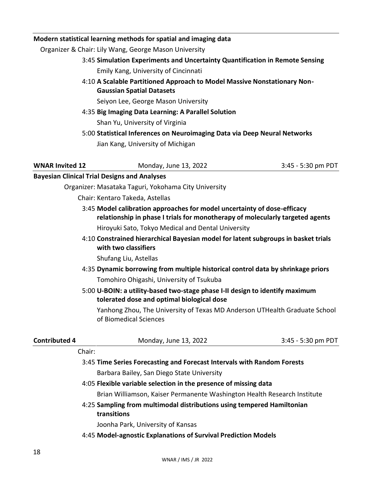### **Modern statistical learning methods for spatial and imaging data**

Organizer & Chair: Lily Wang, George Mason University

- 3:45 **Simulation Experiments and Uncertainty Quantification in Remote Sensing** Emily Kang, University of Cincinnati
- 4:10 **A Scalable Partitioned Approach to Model Massive Nonstationary Non-Gaussian Spatial Datasets**

Seiyon Lee, George Mason University

4:35 **Big Imaging Data Learning: A Parallel Solution**

Shan Yu, University of Virginia

5:00 **Statistical Inferences on Neuroimaging Data via Deep Neural Networks**

Jian Kang, University of Michigan

| <b>WNAR Invited 12</b>                              | Monday, June 13, 2022                                                                                                                                     | 3:45 - 5:30 pm PDT |
|-----------------------------------------------------|-----------------------------------------------------------------------------------------------------------------------------------------------------------|--------------------|
| <b>Bayesian Clinical Trial Designs and Analyses</b> |                                                                                                                                                           |                    |
|                                                     | Organizer: Masataka Taguri, Yokohama City University                                                                                                      |                    |
|                                                     | Chair: Kentaro Takeda, Astellas                                                                                                                           |                    |
|                                                     | 3:45 Model calibration approaches for model uncertainty of dose-efficacy<br>relationship in phase I trials for monotherapy of molecularly targeted agents |                    |

Hiroyuki Sato, Tokyo Medical and Dental University

4:10 **Constrained hierarchical Bayesian model for latent subgroups in basket trials with two classifiers**

Shufang Liu, Astellas

- 4:35 **Dynamic borrowing from multiple historical control data by shrinkage priors** Tomohiro Ohigashi, University of Tsukuba
- 5:00 **U-BOIN: a utility-based two-stage phase I-II design to identify maximum tolerated dose and optimal biological dose**

Yanhong Zhou, The University of Texas MD Anderson UTHealth Graduate School of Biomedical Sciences

| <b>Contributed 4</b> | Monday, June 13, 2022                                                                 | 3:45 - 5:30 pm PDT |
|----------------------|---------------------------------------------------------------------------------------|--------------------|
| Chair:               |                                                                                       |                    |
|                      | 3:45 Time Series Forecasting and Forecast Intervals with Random Forests               |                    |
|                      | Barbara Bailey, San Diego State University                                            |                    |
|                      | 4:05 Flexible variable selection in the presence of missing data                      |                    |
|                      | Brian Williamson, Kaiser Permanente Washington Health Research Institute              |                    |
|                      | 4:25 Sampling from multimodal distributions using tempered Hamiltonian<br>transitions |                    |
|                      | Joonha Park, University of Kansas                                                     |                    |
|                      | 4:45 Model-agnostic Explanations of Survival Prediction Models                        |                    |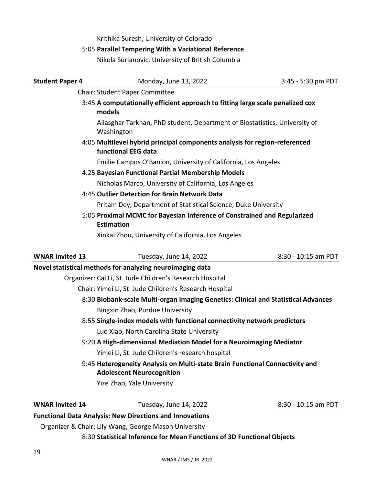Krithika Suresh, University of Colorado

### 5:05 **Parallel Tempering With a Variational Reference**

Nikola Surjanovic, University of British Columbia

| <b>Student Paper 4</b>                                         | Monday, June 13, 2022                                                                                            | 3:45 - 5:30 pm PDT  |
|----------------------------------------------------------------|------------------------------------------------------------------------------------------------------------------|---------------------|
|                                                                | Chair: Student Paper Committee                                                                                   |                     |
|                                                                | 3:45 A computationally efficient approach to fitting large scale penalized cox<br>models                         |                     |
|                                                                | Aliasghar Tarkhan, PhD student, Department of Biostatistics, University of<br>Washington                         |                     |
|                                                                | 4:05 Multilevel hybrid principal components analysis for region-referenced<br>functional EEG data                |                     |
|                                                                | Emilie Campos O'Banion, University of California, Los Angeles                                                    |                     |
| 4:25 Bayesian Functional Partial Membership Models             |                                                                                                                  |                     |
|                                                                | Nicholas Marco, University of California, Los Angeles                                                            |                     |
|                                                                | 4:45 Outlier Detection for Brain Network Data                                                                    |                     |
| Pritam Dey, Department of Statistical Science, Duke University |                                                                                                                  |                     |
|                                                                | 5:05 Proximal MCMC for Bayesian Inference of Constrained and Regularized<br><b>Estimation</b>                    |                     |
|                                                                | Xinkai Zhou, University of California, Los Angeles                                                               |                     |
| <b>WNAR Invited 13</b>                                         | Tuesday, June 14, 2022                                                                                           | 8:30 - 10:15 am PDT |
|                                                                | Novel statistical methods for analyzing neuroimaging data                                                        |                     |
|                                                                | Organizer: Cai Li, St. Jude Children's Research Hospital                                                         |                     |
|                                                                | Chair: Yimei Li, St. Jude Children's Research Hospital                                                           |                     |
|                                                                | 8:30 Biobank-scale Multi-organ Imaging Genetics: Clinical and Statistical Advances                               |                     |
|                                                                | Bingxin Zhao, Purdue University                                                                                  |                     |
|                                                                | 8:55 Single-index models with functional connectivity network predictors                                         |                     |
|                                                                | Luo Xiao, North Carolina State University                                                                        |                     |
|                                                                | 9:20 A High-dimensional Mediation Model for a Neuroimaging Mediator                                              |                     |
|                                                                | Yimei Li, St. Jude Children's research hospital                                                                  |                     |
|                                                                | 9:45 Heterogeneity Analysis on Multi-state Brain Functional Connectivity and<br><b>Adolescent Neurocognition</b> |                     |
|                                                                | Yize Zhao, Yale University                                                                                       |                     |
| <b>WNAR Invited 14</b>                                         | Tuesday, June 14, 2022                                                                                           | 8:30 - 10:15 am PDT |
|                                                                | <b>Functional Data Analysis: New Directions and Innovations</b>                                                  |                     |

Organizer & Chair: Lily Wang, George Mason University

8:30 **Statistical Inference for Mean Functions of 3D Functional Objects**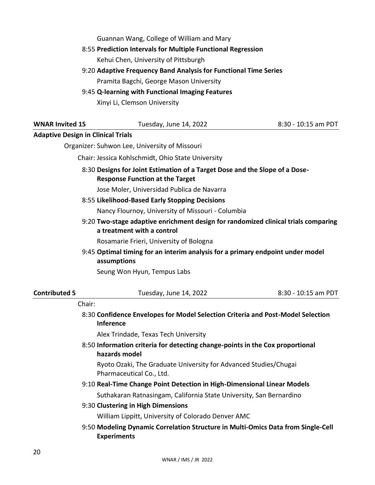Guannan Wang, College of William and Mary

### 8:55 **Prediction Intervals for Multiple Functional Regression**

Kehui Chen, University of Pittsburgh

9:20 **Adaptive Frequency Band Analysis for Functional Time Series** Pramita Bagchi, George Mason University

#### 9:45 **Q-learning with Functional Imaging Features**

Xinyi Li, Clemson University

#### **Adaptive Design in Clinical Trials**

Organizer: Suhwon Lee, University of Missouri

Chair: Jessica Kohlschmidt, Ohio State University

### 8:30 **Designs for Joint Estimation of a Target Dose and the Slope of a Dose-Response Function at the Target**

Jose Moler, Universidad Publica de Navarra

### 8:55 **Likelihood-Based Early Stopping Decisions**

Nancy Flournoy, University of Missouri - Columbia

9:20 **Two-stage adaptive enrichment design for randomized clinical trials comparing a treatment with a control**

Rosamarie Frieri, University of Bologna

9:45 **Optimal timing for an interim analysis for a primary endpoint under model assumptions**

Seung Won Hyun, Tempus Labs

| <b>Contributed 5</b> | Tuesday, June 14, 2022                                                                                 | 8:30 - 10:15 am PDT |
|----------------------|--------------------------------------------------------------------------------------------------------|---------------------|
|                      | Chair:                                                                                                 |                     |
|                      | 8:30 Confidence Envelopes for Model Selection Criteria and Post-Model Selection<br><b>Inference</b>    |                     |
|                      | Alex Trindade, Texas Tech University                                                                   |                     |
|                      | 8:50 Information criteria for detecting change-points in the Cox proportional<br>hazards model         |                     |
|                      | Ryoto Ozaki, The Graduate University for Advanced Studies/Chugai<br>Pharmaceutical Co., Ltd.           |                     |
|                      | 9:10 Real-Time Change Point Detection in High-Dimensional Linear Models                                |                     |
|                      | Suthakaran Ratnasingam, California State University, San Bernardino                                    |                     |
|                      | 9:30 Clustering in High Dimensions                                                                     |                     |
|                      | William Lippitt, University of Colorado Denver AMC                                                     |                     |
|                      | 9:50 Modeling Dynamic Correlation Structure in Multi-Omics Data from Single-Cell<br><b>Experiments</b> |                     |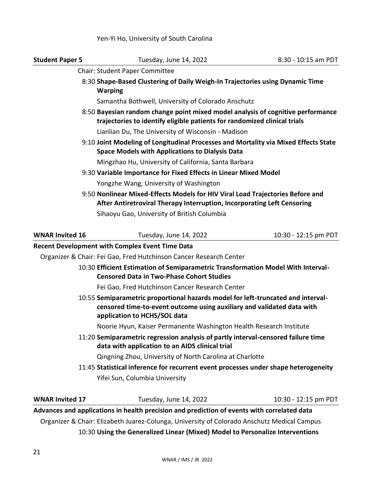### Yen-Yi Ho, University of South Carolina

| <b>Student Paper 5</b>                                                                                                                                       | Tuesday, June 14, 2022                                                                                                                                                                     | 8:30 - 10:15 am PDT  |  |
|--------------------------------------------------------------------------------------------------------------------------------------------------------------|--------------------------------------------------------------------------------------------------------------------------------------------------------------------------------------------|----------------------|--|
|                                                                                                                                                              | Chair: Student Paper Committee                                                                                                                                                             |                      |  |
| 8:30 Shape-Based Clustering of Daily Weigh-In Trajectories using Dynamic Time<br><b>Warping</b>                                                              |                                                                                                                                                                                            |                      |  |
|                                                                                                                                                              | Samantha Bothwell, University of Colorado Anschutz                                                                                                                                         |                      |  |
| 8:50 Bayesian random change point mixed model analysis of cognitive performance<br>trajectories to identify eligible patients for randomized clinical trials |                                                                                                                                                                                            |                      |  |
|                                                                                                                                                              | Lianlian Du, The University of Wisconsin - Madison                                                                                                                                         |                      |  |
|                                                                                                                                                              | 9:10 Joint Modeling of Longitudinal Processes and Mortality via Mixed Effects State<br><b>Space Models with Applications to Dialysis Data</b>                                              |                      |  |
|                                                                                                                                                              | Mingzhao Hu, University of California, Santa Barbara                                                                                                                                       |                      |  |
| 9:30 Variable Importance for Fixed Effects in Linear Mixed Model                                                                                             |                                                                                                                                                                                            |                      |  |
|                                                                                                                                                              | Yongzhe Wang, University of Washington                                                                                                                                                     |                      |  |
| 9:50 Nonlinear Mixed-Effects Models for HIV Viral Load Trajectories Before and<br>After Antiretroviral Therapy Interruption, Incorporating Left Censoring    |                                                                                                                                                                                            |                      |  |
|                                                                                                                                                              | Sihaoyu Gao, University of British Columbia                                                                                                                                                |                      |  |
|                                                                                                                                                              |                                                                                                                                                                                            |                      |  |
| <b>WNAR Invited 16</b>                                                                                                                                       | Tuesday, June 14, 2022                                                                                                                                                                     | 10:30 - 12:15 pm PDT |  |
|                                                                                                                                                              | Recent Development with Complex Event Time Data                                                                                                                                            |                      |  |
|                                                                                                                                                              | Organizer & Chair: Fei Gao, Fred Hutchinson Cancer Research Center                                                                                                                         |                      |  |
|                                                                                                                                                              | 10:30 Efficient Estimation of Semiparametric Transformation Model With Interval-<br><b>Censored Data in Two-Phase Cohort Studies</b>                                                       |                      |  |
|                                                                                                                                                              | Fei Gao, Fred Hutchinson Cancer Research Center                                                                                                                                            |                      |  |
|                                                                                                                                                              | 10:55 Semiparametric proportional hazards model for left-truncated and interval-<br>censored time-to-event outcome using auxiliary and validated data with<br>application to HCHS/SOL data |                      |  |
|                                                                                                                                                              | Noorie Hyun, Kaiser Permanente Washington Health Research Institute                                                                                                                        |                      |  |
|                                                                                                                                                              | 11:20 Semiparametric regression analysis of partly interval-censored failure time<br>data with application to an AIDS clinical trial                                                       |                      |  |
|                                                                                                                                                              | Qingning Zhou, University of North Carolina at Charlotte                                                                                                                                   |                      |  |
|                                                                                                                                                              | 11:45 Statistical inference for recurrent event processes under shape heterogeneity                                                                                                        |                      |  |
|                                                                                                                                                              | Yifei Sun, Columbia University                                                                                                                                                             |                      |  |
| <b>WNAR Invited 17</b>                                                                                                                                       | Tuesday, June 14, 2022                                                                                                                                                                     | 10:30 - 12:15 pm PDT |  |
|                                                                                                                                                              | Advances and applications in health precision and prediction of events with correlated data                                                                                                |                      |  |

Organizer & Chair: Elizabeth Juarez-Colunga, University of Colorado Anschutz Medical Campus

10:30 **Using the Generalized Linear (Mixed) Model to Personalize Interventions**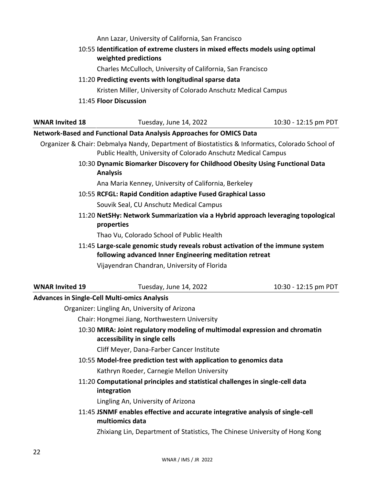Ann Lazar, University of California, San Francisco

### 10:55 **Identification of extreme clusters in mixed effects models using optimal weighted predictions**

Charles McCulloch, University of California, San Francisco

### 11:20 **Predicting events with longitudinal sparse data**

Kristen Miller, University of Colorado Anschutz Medical Campus

### 11:45 **Floor Discussion**

| <b>WNAR Invited 18</b>                                                        | Tuesday, June 14, 2022                                                                                                                                            | 10:30 - 12:15 pm PDT |
|-------------------------------------------------------------------------------|-------------------------------------------------------------------------------------------------------------------------------------------------------------------|----------------------|
|                                                                               | Network-Based and Functional Data Analysis Approaches for OMICS Data                                                                                              |                      |
|                                                                               | Organizer & Chair: Debmalya Nandy, Department of Biostatistics & Informatics, Colorado School of<br>Public Health, University of Colorado Anschutz Medical Campus |                      |
| 10:30 Dynamic Biomarker Discovery for Childhood Obesity Using Functional Data |                                                                                                                                                                   |                      |
|                                                                               | <b>Analysis</b>                                                                                                                                                   |                      |
|                                                                               | Ana Maria Kenney, University of California, Berkeley                                                                                                              |                      |
|                                                                               | 10:55 RCFGL: Rapid Condition adaptive Fused Graphical Lasso                                                                                                       |                      |
|                                                                               | Souvik Seal, CU Anschutz Medical Campus                                                                                                                           |                      |
|                                                                               | 11:20 NetSHy: Network Summarization via a Hybrid approach leveraging topological                                                                                  |                      |
|                                                                               | properties                                                                                                                                                        |                      |
|                                                                               | Thao Vu, Colorado School of Public Health                                                                                                                         |                      |
|                                                                               | 11:45 Large-scale genomic study reveals robust activation of the immune system                                                                                    |                      |
|                                                                               | following advanced Inner Engineering meditation retreat                                                                                                           |                      |
|                                                                               | Vijayendran Chandran, University of Florida                                                                                                                       |                      |
| <b>WNAR Invited 19</b>                                                        | Tuesday, June 14, 2022                                                                                                                                            | 10:30 - 12:15 pm PDT |
|                                                                               | <b>Advances in Single-Cell Multi-omics Analysis</b>                                                                                                               |                      |
|                                                                               | Organizer: Lingling An, University of Arizona                                                                                                                     |                      |
|                                                                               | Chair: Hongmei Jiang, Northwestern University                                                                                                                     |                      |
|                                                                               | 10:30 MIRA: Joint regulatory modeling of multimodal expression and chromatin<br>accessibility in single cells                                                     |                      |
|                                                                               | Cliff Meyer, Dana-Farber Cancer Institute                                                                                                                         |                      |
|                                                                               | 10:55 Model-free prediction test with application to genomics data                                                                                                |                      |
|                                                                               | Kathryn Roeder, Carnegie Mellon University                                                                                                                        |                      |
|                                                                               | 11:20 Computational principles and statistical challenges in single-cell data<br>integration                                                                      |                      |
|                                                                               | Lingling An, University of Arizona                                                                                                                                |                      |
|                                                                               | 11:45 JSNMF enables effective and accurate integrative analysis of single-cell<br>multiomics data                                                                 |                      |
|                                                                               | Zhixiang Lin, Department of Statistics, The Chinese University of Hong Kong                                                                                       |                      |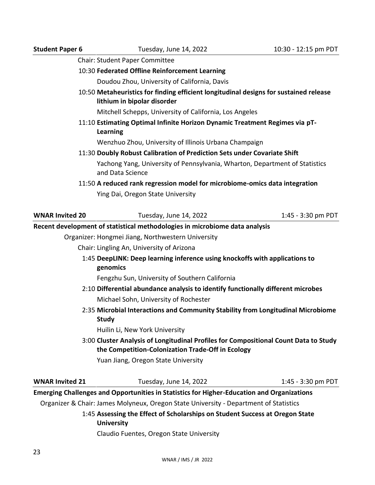Chair: Student Paper Committee

10:30 **Federated Offline Reinforcement Learning**

Doudou Zhou, University of California, Davis

10:50 **Metaheuristics for finding efficient longitudinal designs for sustained release lithium in bipolar disorder**

Mitchell Schepps, University of California, Los Angeles

11:10 **Estimating Optimal Infinite Horizon Dynamic Treatment Regimes via pT-Learning**

Wenzhuo Zhou, University of Illinois Urbana Champaign

- 11:30 **Doubly Robust Calibration of Prediction Sets under Covariate Shift** Yachong Yang, University of Pennsylvania, Wharton, Department of Statistics and Data Science
- 11:50 **A reduced rank regression model for microbiome-omics data integration** Ying Dai, Oregon State University

| <b>WNAR Invited 20</b>                                                                     | Tuesday, June 14, 2022                                                                                                                    | 1:45 - 3:30 pm PDT |
|--------------------------------------------------------------------------------------------|-------------------------------------------------------------------------------------------------------------------------------------------|--------------------|
|                                                                                            | Recent development of statistical methodologies in microbiome data analysis                                                               |                    |
|                                                                                            | Organizer: Hongmei Jiang, Northwestern University                                                                                         |                    |
|                                                                                            | Chair: Lingling An, University of Arizona                                                                                                 |                    |
|                                                                                            | 1:45 DeepLINK: Deep learning inference using knockoffs with applications to<br>genomics                                                   |                    |
|                                                                                            | Fengzhu Sun, University of Southern California                                                                                            |                    |
|                                                                                            | 2:10 Differential abundance analysis to identify functionally different microbes                                                          |                    |
|                                                                                            | Michael Sohn, University of Rochester                                                                                                     |                    |
|                                                                                            | 2:35 Microbial Interactions and Community Stability from Longitudinal Microbiome<br><b>Study</b>                                          |                    |
|                                                                                            | Huilin Li, New York University                                                                                                            |                    |
|                                                                                            | 3:00 Cluster Analysis of Longitudinal Profiles for Compositional Count Data to Study<br>the Competition-Colonization Trade-Off in Ecology |                    |
|                                                                                            | Yuan Jiang, Oregon State University                                                                                                       |                    |
| <b>WNAR Invited 21</b>                                                                     | Tuesday, June 14, 2022                                                                                                                    | 1:45 - 3:30 pm PDT |
| Emerging Challenges and Opportunities in Statistics for Higher-Education and Organizations |                                                                                                                                           |                    |
|                                                                                            | Organizer & Chair: James Molyneux, Oregon State University - Department of Statistics                                                     |                    |
|                                                                                            | 1:45 Assessing the Effect of Scholarships on Student Success at Oregon State<br><b>University</b>                                         |                    |

Claudio Fuentes, Oregon State University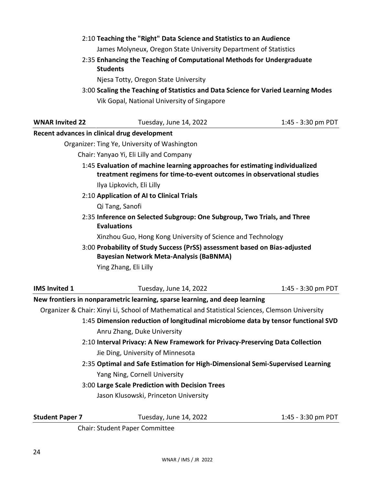|                        | 2:10 Teaching the "Right" Data Science and Statistics to an Audience                                                                                   |                    |
|------------------------|--------------------------------------------------------------------------------------------------------------------------------------------------------|--------------------|
|                        | James Molyneux, Oregon State University Department of Statistics                                                                                       |                    |
|                        | 2:35 Enhancing the Teaching of Computational Methods for Undergraduate<br><b>Students</b>                                                              |                    |
|                        | Njesa Totty, Oregon State University                                                                                                                   |                    |
|                        | 3:00 Scaling the Teaching of Statistics and Data Science for Varied Learning Modes                                                                     |                    |
|                        | Vik Gopal, National University of Singapore                                                                                                            |                    |
| <b>WNAR Invited 22</b> | Tuesday, June 14, 2022                                                                                                                                 | 1:45 - 3:30 pm PDT |
|                        | Recent advances in clinical drug development                                                                                                           |                    |
|                        | Organizer: Ting Ye, University of Washington                                                                                                           |                    |
|                        | Chair: Yanyao Yi, Eli Lilly and Company                                                                                                                |                    |
|                        | 1:45 Evaluation of machine learning approaches for estimating individualized<br>treatment regimens for time-to-event outcomes in observational studies |                    |
|                        | Ilya Lipkovich, Eli Lilly                                                                                                                              |                    |
|                        | 2:10 Application of AI to Clinical Trials                                                                                                              |                    |
|                        | Qi Tang, Sanofi                                                                                                                                        |                    |
|                        | 2:35 Inference on Selected Subgroup: One Subgroup, Two Trials, and Three<br><b>Evaluations</b>                                                         |                    |
|                        | Xinzhou Guo, Hong Kong University of Science and Technology                                                                                            |                    |
|                        | 3:00 Probability of Study Success (PrSS) assessment based on Bias-adjusted<br><b>Bayesian Network Meta-Analysis (BaBNMA)</b>                           |                    |
|                        | Ying Zhang, Eli Lilly                                                                                                                                  |                    |
| <b>IMS Invited 1</b>   | Tuesday, June 14, 2022                                                                                                                                 | 1:45 - 3:30 pm PDT |
|                        | New frontiers in nonparametric learning, sparse learning, and deep learning                                                                            |                    |
|                        | Organizer & Chair: Xinyi Li, School of Mathematical and Statistical Sciences, Clemson University                                                       |                    |
|                        | 1:45 Dimension reduction of longitudinal microbiome data by tensor functional SVD                                                                      |                    |
|                        | Anru Zhang, Duke University                                                                                                                            |                    |
|                        | 2:10 Interval Privacy: A New Framework for Privacy-Preserving Data Collection                                                                          |                    |
|                        | Jie Ding, University of Minnesota                                                                                                                      |                    |
|                        | 2:35 Optimal and Safe Estimation for High-Dimensional Semi-Supervised Learning                                                                         |                    |
|                        | Yang Ning, Cornell University                                                                                                                          |                    |
|                        | 3:00 Large Scale Prediction with Decision Trees                                                                                                        |                    |
|                        | Jason Klusowski, Princeton University                                                                                                                  |                    |
| <b>Student Paper 7</b> | Tuesday, June 14, 2022                                                                                                                                 | 1:45 - 3:30 pm PDT |
|                        |                                                                                                                                                        |                    |

Chair: Student Paper Committee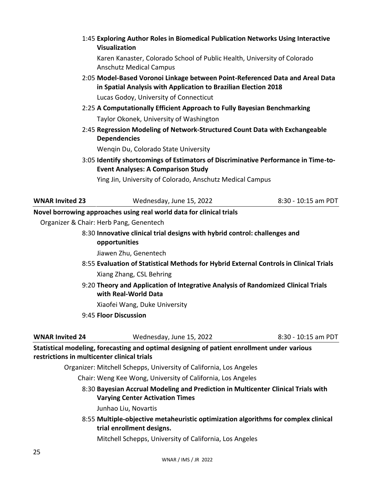|               | 1:45 Exploring Author Roles in Biomedical Publication Networks Using Interactive |
|---------------|----------------------------------------------------------------------------------|
| Visualization |                                                                                  |

Karen Kanaster, Colorado School of Public Health, University of Colorado Anschutz Medical Campus

2:05 **Model-Based Voronoi Linkage between Point-Referenced Data and Areal Data in Spatial Analysis with Application to Brazilian Election 2018**

Lucas Godoy, University of Connecticut

- 2:25 **A Computationally Efficient Approach to Fully Bayesian Benchmarking** Taylor Okonek, University of Washington
- 2:45 **Regression Modeling of Network-Structured Count Data with Exchangeable Dependencies**

Wenqin Du, Colorado State University

3:05 **Identify shortcomings of Estimators of Discriminative Performance in Time-to-Event Analyses: A Comparison Study**

Ying Jin, University of Colorado, Anschutz Medical Campus

**WNAR Invited 23** Wednesday, June 15, 2022 8:30 - 10:15 am PDT

### **Novel borrowing approaches using real world data for clinical trials**

Organizer & Chair: Herb Pang, Genentech

8:30 **Innovative clinical trial designs with hybrid control: challenges and opportunities**

Jiawen Zhu, Genentech

- 8:55 **Evaluation of Statistical Methods for Hybrid External Controls in Clinical Trials** Xiang Zhang, CSL Behring
- 9:20 **Theory and Application of Integrative Analysis of Randomized Clinical Trials with Real-World Data**

Xiaofei Wang, Duke University

9:45 **Floor Discussion**

**WNAR Invited 24** Wednesday, June 15, 2022 8:30 - 10:15 am PDT

**Statistical modeling, forecasting and optimal designing of patient enrollment under various restrictions in multicenter clinical trials**

Organizer: Mitchell Schepps, University of California, Los Angeles

Chair: Weng Kee Wong, University of California, Los Angeles

8:30 **Bayesian Accrual Modeling and Prediction in Multicenter Clinical Trials with Varying Center Activation Times**

Junhao Liu, Novartis

8:55 **Multiple-objective metaheuristic optimization algorithms for complex clinical trial enrollment designs.**

Mitchell Schepps, University of California, Los Angeles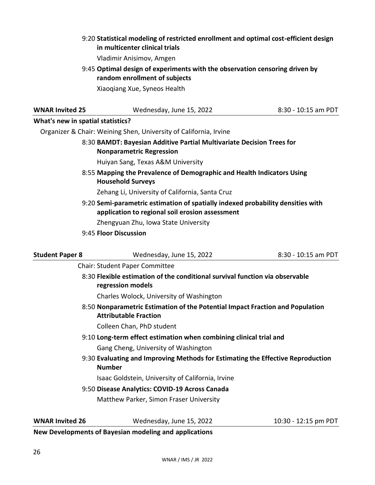### 9:20 **Statistical modeling of restricted enrollment and optimal cost-efficient design in multicenter clinical trials**

Vladimir Anisimov, Amgen

### 9:45 **Optimal design of experiments with the observation censoring driven by random enrollment of subjects**

Xiaoqiang Xue, Syneos Health

| <b>WNAR Invited 25</b>            | Wednesday, June 15, 2022                                                                                                           | 8:30 - 10:15 am PDT  |
|-----------------------------------|------------------------------------------------------------------------------------------------------------------------------------|----------------------|
| What's new in spatial statistics? |                                                                                                                                    |                      |
|                                   | Organizer & Chair: Weining Shen, University of California, Irvine                                                                  |                      |
|                                   | 8:30 BAMDT: Bayesian Additive Partial Multivariate Decision Trees for                                                              |                      |
|                                   | <b>Nonparametric Regression</b>                                                                                                    |                      |
|                                   | Huiyan Sang, Texas A&M University                                                                                                  |                      |
|                                   | 8:55 Mapping the Prevalence of Demographic and Health Indicators Using<br><b>Household Surveys</b>                                 |                      |
|                                   | Zehang Li, University of California, Santa Cruz                                                                                    |                      |
|                                   | 9:20 Semi-parametric estimation of spatially indexed probability densities with<br>application to regional soil erosion assessment |                      |
|                                   | Zhengyuan Zhu, Iowa State University                                                                                               |                      |
|                                   | 9:45 Floor Discussion                                                                                                              |                      |
| <b>Student Paper 8</b>            | Wednesday, June 15, 2022                                                                                                           | 8:30 - 10:15 am PDT  |
|                                   | <b>Chair: Student Paper Committee</b>                                                                                              |                      |
|                                   | 8:30 Flexible estimation of the conditional survival function via observable<br>regression models                                  |                      |
|                                   | Charles Wolock, University of Washington                                                                                           |                      |
|                                   | 8:50 Nonparametric Estimation of the Potential Impact Fraction and Population<br><b>Attributable Fraction</b>                      |                      |
|                                   | Colleen Chan, PhD student                                                                                                          |                      |
|                                   | 9:10 Long-term effect estimation when combining clinical trial and                                                                 |                      |
|                                   | Gang Cheng, University of Washington                                                                                               |                      |
|                                   | 9:30 Evaluating and Improving Methods for Estimating the Effective Reproduction<br><b>Number</b>                                   |                      |
|                                   | Isaac Goldstein, University of California, Irvine                                                                                  |                      |
|                                   | 9:50 Disease Analytics: COVID-19 Across Canada                                                                                     |                      |
|                                   | Matthew Parker, Simon Fraser University                                                                                            |                      |
| <b>WNAR Invited 26</b>            | Wednesday, June 15, 2022                                                                                                           | 10:30 - 12:15 pm PDT |

**New Developments of Bayesian modeling and applications**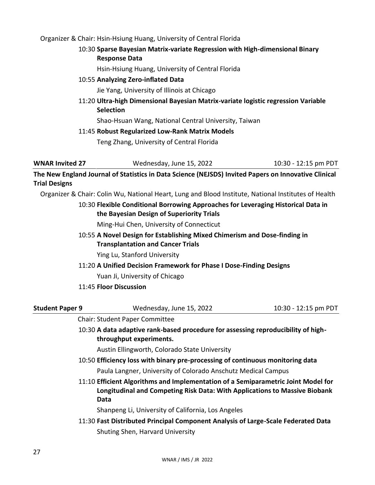Organizer & Chair: Hsin-Hsiung Huang, University of Central Florida

10:30 **Sparse Bayesian Matrix-variate Regression with High-dimensional Binary Response Data**

Hsin-Hsiung Huang, University of Central Florida

#### 10:55 **Analyzing Zero-inflated Data**

Jie Yang, University of Illinois at Chicago

11:20 **Ultra-high Dimensional Bayesian Matrix-variate logistic regression Variable Selection**

Shao-Hsuan Wang, National Central University, Taiwan

### 11:45 **Robust Regularized Low-Rank Matrix Models**

Teng Zhang, University of Central Florida

**WNAR Invited 27** Wednesday, June 15, 2022 10:30 - 12:15 pm PDT

**The New England Journal of Statistics in Data Science (NEJSDS) Invited Papers on Innovative Clinical Trial Designs**

Organizer & Chair: Colin Wu, National Heart, Lung and Blood Institute, National Institutes of Health

### 10:30 **Flexible Conditional Borrowing Approaches for Leveraging Historical Data in the Bayesian Design of Superiority Trials**

Ming-Hui Chen, University of Connecticut

10:55 **A Novel Design for Establishing Mixed Chimerism and Dose-finding in Transplantation and Cancer Trials**

Ying Lu, Stanford University

11:20 **A Unified Decision Framework for Phase I Dose-Finding Designs**

Yuan Ji, University of Chicago

### 11:45 **Floor Discussion**

| <b>Student Paper 9</b> | Wednesday, June 15, 2022                                                                                                                                                | 10:30 - 12:15 pm PDT |
|------------------------|-------------------------------------------------------------------------------------------------------------------------------------------------------------------------|----------------------|
|                        | <b>Chair: Student Paper Committee</b>                                                                                                                                   |                      |
|                        | 10:30 A data adaptive rank-based procedure for assessing reproducibility of high-<br>throughput experiments.                                                            |                      |
|                        | Austin Ellingworth, Colorado State University                                                                                                                           |                      |
|                        | 10:50 Efficiency loss with binary pre-processing of continuous monitoring data                                                                                          |                      |
|                        | Paula Langner, University of Colorado Anschutz Medical Campus                                                                                                           |                      |
|                        | 11:10 Efficient Algorithms and Implementation of a Semiparametric Joint Model for<br>Longitudinal and Competing Risk Data: With Applications to Massive Biobank<br>Data |                      |
|                        | Shanpeng Li, University of California, Los Angeles                                                                                                                      |                      |
|                        | 11:30 Fast Distributed Principal Component Analysis of Large-Scale Federated Data                                                                                       |                      |
|                        | Shuting Shen, Harvard University                                                                                                                                        |                      |